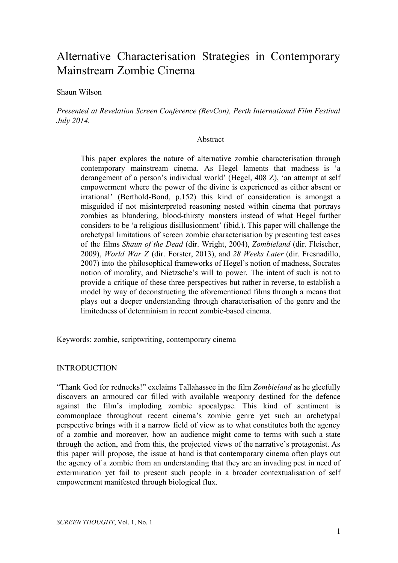# Alternative Characterisation Strategies in Contemporary Mainstream Zombie Cinema

Shaun Wilson

*Presented at Revelation Screen Conference (RevCon), Perth International Film Festival July 2014.*

#### Abstract

This paper explores the nature of alternative zombie characterisation through contemporary mainstream cinema. As Hegel laments that madness is 'a derangement of a person's individual world' (Hegel, 408 Z), 'an attempt at self empowerment where the power of the divine is experienced as either absent or  $irrational'$  (Berthold-Bond, p.152) this kind of consideration is amongst a misguided if not misinterpreted reasoning nested within cinema that portrays zombies as blundering, blood-thirsty monsters instead of what Hegel further considers to be 'a religious disillusionment' (ibid.). This paper will challenge the archetypal limitations of screen zombie characterisation by presenting test cases of the films *Shaun of the Dead* (dir. Wright, 2004), *Zombieland* (dir. Fleischer, 2009), *World War Z* (dir. Forster, 2013), and *28 Weeks Later* (dir. Fresnadillo, 2007) into the philosophical frameworks of Hegel's notion of madness, Socrates notion of morality, and Nietzsche's will to power. The intent of such is not to provide a critique of these three perspectives but rather in reverse, to establish a model by way of deconstructing the aforementioned films through a means that plays out a deeper understanding through characterisation of the genre and the limitedness of determinism in recent zombie-based cinema.

Keywords: zombie, scriptwriting, contemporary cinema

## INTRODUCTION

"Thank God for rednecks!" exclaims Tallahassee in the film *Zombieland* as he gleefully discovers an armoured car filled with available weaponry destined for the defence against the film's imploding zombie apocalypse. This kind of sentiment is commonplace throughout recent cinema's zombie genre yet such an archetypal perspective brings with it a narrow field of view as to what constitutes both the agency of a zombie and moreover, how an audience might come to terms with such a state through the action, and from this, the projected views of the narrative's protagonist. As this paper will propose, the issue at hand is that contemporary cinema often plays out the agency of a zombie from an understanding that they are an invading pest in need of extermination yet fail to present such people in a broader contextualisation of self empowerment manifested through biological flux.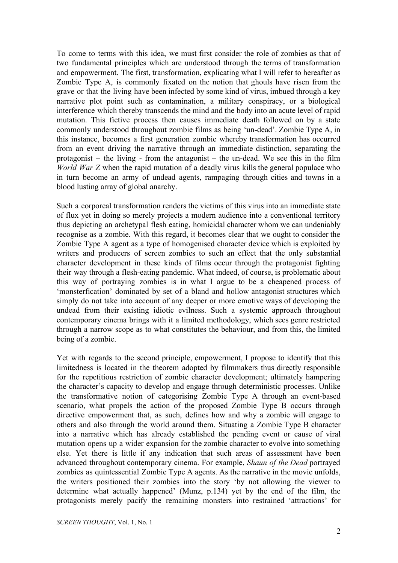To come to terms with this idea, we must first consider the role of zombies as that of two fundamental principles which are understood through the terms of transformation and empowerment. The first, transformation, explicating what I will refer to hereafter as Zombie Type A, is commonly fixated on the notion that ghouls have risen from the grave or that the living have been infected by some kind of virus, imbued through a key narrative plot point such as contamination, a military conspiracy, or a biological interference which thereby transcends the mind and the body into an acute level of rapid mutation. This fictive process then causes immediate death followed on by a state commonly understood throughout zombie films as being 'un-dead'. Zombie Type A, in this instance, becomes a first generation zombie whereby transformation has occurred from an event driving the narrative through an immediate distinction, separating the protagonist – the living - from the antagonist – the un-dead. We see this in the film *World War Z* when the rapid mutation of a deadly virus kills the general populace who in turn become an army of undead agents, rampaging through cities and towns in a blood lusting array of global anarchy.

Such a corporeal transformation renders the victims of this virus into an immediate state of flux yet in doing so merely projects a modern audience into a conventional territory thus depicting an archetypal flesh eating, homicidal character whom we can undeniably recognise as a zombie. With this regard, it becomes clear that we ought to consider the Zombie Type A agent as a type of homogenised character device which is exploited by writers and producers of screen zombies to such an effect that the only substantial character development in these kinds of films occur through the protagonist fighting their way through a flesh-eating pandemic. What indeed, of course, is problematic about this way of portraying zombies is in what I argue to be a cheapened process of 'monsterfication' dominated by set of a bland and hollow antagonist structures which simply do not take into account of any deeper or more emotive ways of developing the undead from their existing idiotic evilness. Such a systemic approach throughout contemporary cinema brings with it a limited methodology, which sees genre restricted through a narrow scope as to what constitutes the behaviour, and from this, the limited being of a zombie.

Yet with regards to the second principle, empowerment, I propose to identify that this limitedness is located in the theorem adopted by filmmakers thus directly responsible for the repetitious restriction of zombie character development; ultimately hampering the character's capacity to develop and engage through deterministic processes. Unlike the transformative notion of categorising Zombie Type A through an event-based scenario, what propels the action of the proposed Zombie Type B occurs through directive empowerment that, as such, defines how and why a zombie will engage to others and also through the world around them. Situating a Zombie Type B character into a narrative which has already established the pending event or cause of viral mutation opens up a wider expansion for the zombie character to evolve into something else. Yet there is little if any indication that such areas of assessment have been advanced throughout contemporary cinema. For example, *Shaun of the Dead* portrayed zombies as quintessential Zombie Type A agents. As the narrative in the movie unfolds, the writers positioned their zombies into the story 'by not allowing the viewer to determine what actually happened' (Munz, p.134) yet by the end of the film, the protagonists merely pacify the remaining monsters into restrained 'attractions' for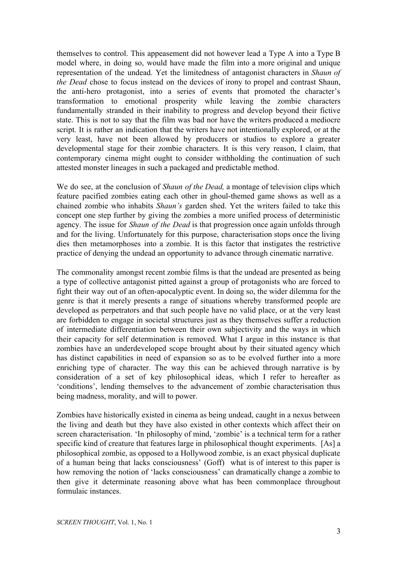themselves to control. This appeasement did not however lead a Type A into a Type B model where, in doing so, would have made the film into a more original and unique representation of the undead. Yet the limitedness of antagonist characters in *Shaun of the Dead* chose to focus instead on the devices of irony to propel and contrast Shaun, the anti-hero protagonist, into a series of events that promoted the character's transformation to emotional prosperity while leaving the zombie characters fundamentally stranded in their inability to progress and develop beyond their fictive state. This is not to say that the film was bad nor have the writers produced a mediocre script. It is rather an indication that the writers have not intentionally explored, or at the very least, have not been allowed by producers or studios to explore a greater developmental stage for their zombie characters. It is this very reason, I claim, that contemporary cinema might ought to consider withholding the continuation of such attested monster lineages in such a packaged and predictable method.

We do see, at the conclusion of *Shaun of the Dead,* a montage of television clips which feature pacified zombies eating each other in ghoul-themed game shows as well as a chained zombie who inhabits *Shaun's* garden shed. Yet the writers failed to take this concept one step further by giving the zombies a more unified process of deterministic agency. The issue for *Shaun of the Dead* is that progression once again unfolds through and for the living. Unfortunately for this purpose, characterisation stops once the living dies then metamorphoses into a zombie. It is this factor that instigates the restrictive practice of denying the undead an opportunity to advance through cinematic narrative.

The commonality amongst recent zombie films is that the undead are presented as being a type of collective antagonist pitted against a group of protagonists who are forced to fight their way out of an often-apocalyptic event. In doing so, the wider dilemma for the genre is that it merely presents a range of situations whereby transformed people are developed as perpetrators and that such people have no valid place, or at the very least are forbidden to engage in societal structures just as they themselves suffer a reduction of intermediate differentiation between their own subjectivity and the ways in which their capacity for self determination is removed. What I argue in this instance is that zombies have an underdeveloped scope brought about by their situated agency which has distinct capabilities in need of expansion so as to be evolved further into a more enriching type of character. The way this can be achieved through narrative is by consideration of a set of key philosophical ideas, which I refer to hereafter as 'conditions', lending themselves to the advancement of zombie characterisation thus being madness, morality, and will to power.

Zombies have historically existed in cinema as being undead, caught in a nexus between the living and death but they have also existed in other contexts which affect their on screen characterisation. 'In philosophy of mind, 'zombie' is a technical term for a rather specific kind of creature that features large in philosophical thought experiments. [As] a philosophical zombie, as opposed to a Hollywood zombie, is an exact physical duplicate of a human being that lacks consciousness' (Goff) what is of interest to this paper is how removing the notion of 'lacks consciousness' can dramatically change a zombie to then give it determinate reasoning above what has been commonplace throughout formulaic instances.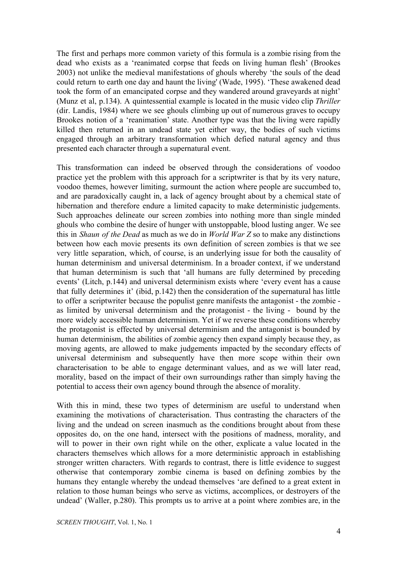The first and perhaps more common variety of this formula is a zombie rising from the dead who exists as a 'reanimated corpse that feeds on living human flesh' (Brookes 2003) not unlike the medieval manifestations of ghouls whereby 'the souls of the dead could return to earth one day and haunt the living' (Wade, 1995). 'These awakened dead took the form of an emancipated corpse and they wandered around graveyards at night' (Munz et al, p.134). A quintessential example is located in the music video clip *Thriller* (dir. Landis, 1984) where we see ghouls climbing up out of numerous graves to occupy Brookes notion of a 'reanimation' state. Another type was that the living were rapidly killed then returned in an undead state yet either way, the bodies of such victims engaged through an arbitrary transformation which defied natural agency and thus presented each character through a supernatural event.

This transformation can indeed be observed through the considerations of voodoo practice yet the problem with this approach for a scriptwriter is that by its very nature, voodoo themes, however limiting, surmount the action where people are succumbed to, and are paradoxically caught in, a lack of agency brought about by a chemical state of hibernation and therefore endure a limited capacity to make deterministic judgements. Such approaches delineate our screen zombies into nothing more than single minded ghouls who combine the desire of hunger with unstoppable, blood lusting anger. We see this in *Shaun of the Dead* as much as we do in *World War Z* so to make any distinctions between how each movie presents its own definition of screen zombies is that we see very little separation, which, of course, is an underlying issue for both the causality of human determinism and universal determinism. In a broader context, if we understand that human determinism is such that 'all humans are fully determined by preceding events' (Litch, p.144) and universal determinism exists where 'every event has a cause that fully determines it' (ibid, p.142) then the consideration of the supernatural has little to offer a scriptwriter because the populist genre manifests the antagonist - the zombie as limited by universal determinism and the protagonist - the living - bound by the more widely accessible human determinism. Yet if we reverse these conditions whereby the protagonist is effected by universal determinism and the antagonist is bounded by human determinism, the abilities of zombie agency then expand simply because they, as moving agents, are allowed to make judgements impacted by the secondary effects of universal determinism and subsequently have then more scope within their own characterisation to be able to engage determinant values, and as we will later read, morality, based on the impact of their own surroundings rather than simply having the potential to access their own agency bound through the absence of morality.

With this in mind, these two types of determinism are useful to understand when examining the motivations of characterisation. Thus contrasting the characters of the living and the undead on screen inasmuch as the conditions brought about from these opposites do, on the one hand, intersect with the positions of madness, morality, and will to power in their own right while on the other, explicate a value located in the characters themselves which allows for a more deterministic approach in establishing stronger written characters. With regards to contrast, there is little evidence to suggest otherwise that contemporary zombie cinema is based on defining zombies by the humans they entangle whereby the undead themselves 'are defined to a great extent in relation to those human beings who serve as victims, accomplices, or destroyers of the undead' (Waller, p.280). This prompts us to arrive at a point where zombies are, in the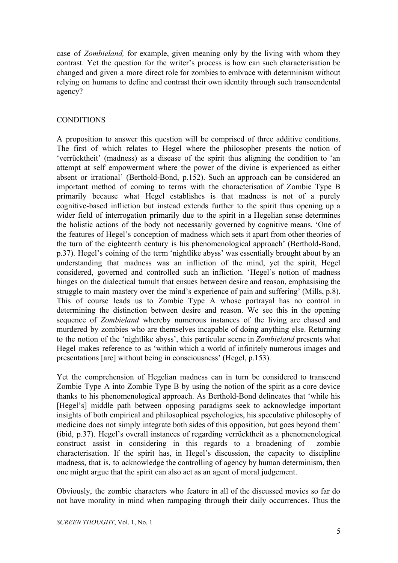case of *Zombieland,* for example, given meaning only by the living with whom they contrast. Yet the question for the writer's process is how can such characterisation be changed and given a more direct role for zombies to embrace with determinism without relying on humans to define and contrast their own identity through such transcendental agency?

# **CONDITIONS**

A proposition to answer this question will be comprised of three additive conditions. The first of which relates to Hegel where the philosopher presents the notion of 'verrücktheit' (madness) as a disease of the spirit thus aligning the condition to 'an attempt at self empowerment where the power of the divine is experienced as either absent or irrational' (Berthold-Bond, p.152). Such an approach can be considered an important method of coming to terms with the characterisation of Zombie Type B primarily because what Hegel establishes is that madness is not of a purely cognitive-based infliction but instead extends further to the spirit thus opening up a wider field of interrogation primarily due to the spirit in a Hegelian sense determines the holistic actions of the body not necessarily governed by cognitive means. 'One of the features of Hegel's conception of madness which sets it apart from other theories of the turn of the eighteenth century is his phenomenological approach' (Berthold-Bond, p.37). Hegel's coining of the term 'nightlike abyss' was essentially brought about by an understanding that madness was an infliction of the mind, yet the spirit, Hegel considered, governed and controlled such an infliction. 'Hegel's notion of madness hinges on the dialectical tumult that ensues between desire and reason, emphasising the struggle to main mastery over the mind's experience of pain and suffering' (Mills, p.8). This of course leads us to Zombie Type A whose portrayal has no control in determining the distinction between desire and reason. We see this in the opening sequence of *Zombieland* whereby numerous instances of the living are chased and murdered by zombies who are themselves incapable of doing anything else. Returning to the notion of the 'nightlike abyss', this particular scene in *Zombieland* presents what Hegel makes reference to as 'within which a world of infinitely numerous images and presentations [are] without being in consciousness' (Hegel, p.153).

Yet the comprehension of Hegelian madness can in turn be considered to transcend Zombie Type A into Zombie Type B by using the notion of the spirit as a core device thanks to his phenomenological approach. As Berthold-Bond delineates that 'while his [Hegel's] middle path between opposing paradigms seek to acknowledge important insights of both empirical and philosophical psychologies, his speculative philosophy of medicine does not simply integrate both sides of this opposition, but goes beyond them' (ibid, p.37). Hegel's overall instances of regarding verrücktheit as a phenomenological construct assist in considering in this regards to a broadening of zombie characterisation. If the spirit has, in Hegel's discussion, the capacity to discipline madness, that is, to acknowledge the controlling of agency by human determinism, then one might argue that the spirit can also act as an agent of moral judgement.

Obviously, the zombie characters who feature in all of the discussed movies so far do not have morality in mind when rampaging through their daily occurrences. Thus the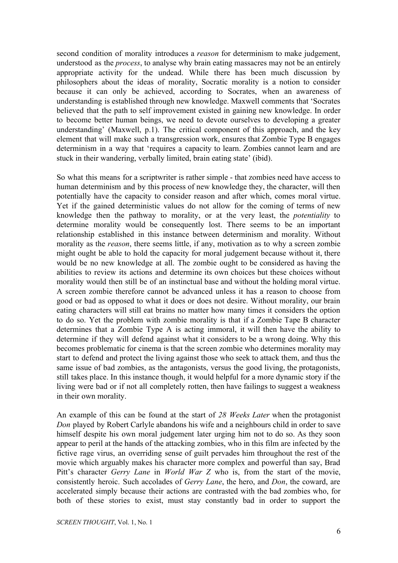second condition of morality introduces a *reason* for determinism to make judgement, understood as the *process*, to analyse why brain eating massacres may not be an entirely appropriate activity for the undead. While there has been much discussion by philosophers about the ideas of morality, Socratic morality is a notion to consider because it can only be achieved, according to Socrates, when an awareness of understanding is established through new knowledge. Maxwell comments that 'Socrates believed that the path to self improvement existed in gaining new knowledge. In order to become better human beings, we need to devote ourselves to developing a greater understanding' (Maxwell, p.1). The critical component of this approach, and the key element that will make such a transgression work, ensures that Zombie Type B engages determinism in a way that 'requires a capacity to learn. Zombies cannot learn and are stuck in their wandering, verbally limited, brain eating state' (ibid).

So what this means for a scriptwriter is rather simple - that zombies need have access to human determinism and by this process of new knowledge they, the character, will then potentially have the capacity to consider reason and after which, comes moral virtue. Yet if the gained deterministic values do not allow for the coming of terms of new knowledge then the pathway to morality, or at the very least, the *potentiality* to determine morality would be consequently lost. There seems to be an important relationship established in this instance between determinism and morality. Without morality as the *reason*, there seems little, if any, motivation as to why a screen zombie might ought be able to hold the capacity for moral judgement because without it, there would be no new knowledge at all. The zombie ought to be considered as having the abilities to review its actions and determine its own choices but these choices without morality would then still be of an instinctual base and without the holding moral virtue. A screen zombie therefore cannot be advanced unless it has a reason to choose from good or bad as opposed to what it does or does not desire. Without morality, our brain eating characters will still eat brains no matter how many times it considers the option to do so. Yet the problem with zombie morality is that if a Zombie Tape B character determines that a Zombie Type A is acting immoral, it will then have the ability to determine if they will defend against what it considers to be a wrong doing. Why this becomes problematic for cinema is that the screen zombie who determines morality may start to defend and protect the living against those who seek to attack them, and thus the same issue of bad zombies, as the antagonists, versus the good living, the protagonists, still takes place. In this instance though, it would helpful for a more dynamic story if the living were bad or if not all completely rotten, then have failings to suggest a weakness in their own morality.

An example of this can be found at the start of *28 Weeks Later* when the protagonist *Don* played by Robert Carlyle abandons his wife and a neighbours child in order to save himself despite his own moral judgement later urging him not to do so. As they soon appear to peril at the hands of the attacking zombies, who in this film are infected by the fictive rage virus, an overriding sense of guilt pervades him throughout the rest of the movie which arguably makes his character more complex and powerful than say, Brad Pitt's character *Gerry Lane* in *World War Z* who is, from the start of the movie, consistently heroic. Such accolades of *Gerry Lane*, the hero, and *Don*, the coward, are accelerated simply because their actions are contrasted with the bad zombies who, for both of these stories to exist, must stay constantly bad in order to support the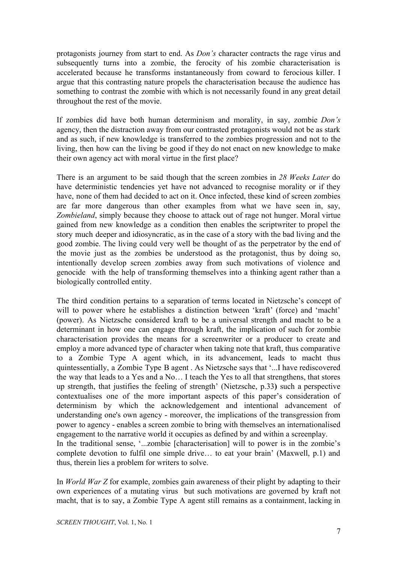protagonists journey from start to end. As *Don's* character contracts the rage virus and subsequently turns into a zombie, the ferocity of his zombie characterisation is accelerated because he transforms instantaneously from coward to ferocious killer. I argue that this contrasting nature propels the characterisation because the audience has something to contrast the zombie with which is not necessarily found in any great detail throughout the rest of the movie.

If zombies did have both human determinism and morality, in say, zombie *Don's* agency, then the distraction away from our contrasted protagonists would not be as stark and as such, if new knowledge is transferred to the zombies progression and not to the living, then how can the living be good if they do not enact on new knowledge to make their own agency act with moral virtue in the first place?

There is an argument to be said though that the screen zombies in *28 Weeks Later* do have deterministic tendencies yet have not advanced to recognise morality or if they have, none of them had decided to act on it. Once infected, these kind of screen zombies are far more dangerous than other examples from what we have seen in, say, *Zombieland*, simply because they choose to attack out of rage not hunger. Moral virtue gained from new knowledge as a condition then enables the scriptwriter to propel the story much deeper and idiosyncratic, as in the case of a story with the bad living and the good zombie. The living could very well be thought of as the perpetrator by the end of the movie just as the zombies be understood as the protagonist, thus by doing so, intentionally develop screen zombies away from such motivations of violence and genocide with the help of transforming themselves into a thinking agent rather than a biologically controlled entity.

The third condition pertains to a separation of terms located in Nietzsche's concept of will to power where he establishes a distinction between 'kraft' (force) and 'macht' (power). As Nietzsche considered kraft to be a universal strength and macht to be a determinant in how one can engage through kraft, the implication of such for zombie characterisation provides the means for a screenwriter or a producer to create and employ a more advanced type of character when taking note that kraft, thus comparative to a Zombie Type A agent which, in its advancement, leads to macht thus quintessentially, a Zombie Type B agent . As Nietzsche says that '...I have rediscovered the way that leads to a Yes and a No… I teach the Yes to all that strengthens, that stores up strength, that justifies the feeling of strength' (Nietzsche, p.33**)** such a perspective contextualises one of the more important aspects of this paper's consideration of determinism by which the acknowledgement and intentional advancement of understanding one's own agency - moreover, the implications of the transgression from power to agency enables a screen zombie to bring with themselves an internationalised engagement to the narrative world it occupies as defined by and within a screenplay. In the traditional sense, '...zombie [characterisation] will to power is in the zombie's complete devotion to fulfil one simple drive… to eat your brain' (Maxwell, p.1) and thus, therein lies a problem for writers to solve.

In *World War Z* for example, zombies gain awareness of their plight by adapting to their own experiences of a mutating virus but such motivations are governed by kraft not macht, that is to say, a Zombie Type A agent still remains as a containment, lacking in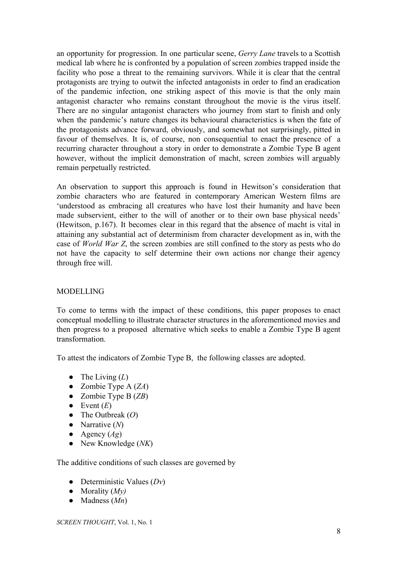an opportunity for progression. In one particular scene, *Gerry Lane* travels to a Scottish medical lab where he is confronted by a population of screen zombies trapped inside the facility who pose a threat to the remaining survivors. While it is clear that the central protagonists are trying to outwit the infected antagonists in order to find an eradication of the pandemic infection, one striking aspect of this movie is that the only main antagonist character who remains constant throughout the movie is the virus itself. There are no singular antagonist characters who journey from start to finish and only when the pandemic's nature changes its behavioural characteristics is when the fate of the protagonists advance forward, obviously, and somewhat not surprisingly, pitted in favour of themselves. It is, of course, non consequential to enact the presence of a recurring character throughout a story in order to demonstrate a Zombie Type B agent however, without the implicit demonstration of macht, screen zombies will arguably remain perpetually restricted.

An observation to support this approach is found in Hewitson's consideration that zombie characters who are featured in contemporary American Western films are 'understood as embracing all creatures who have lost their humanity and have been made subservient, either to the will of another or to their own base physical needs' (Hewitson, p.167). It becomes clear in this regard that the absence of macht is vital in attaining any substantial act of determinism from character development as in, with the case of *World War Z*, the screen zombies are still confined to the story as pests who do not have the capacity to self determine their own actions nor change their agency through free will.

## MODELLING

To come to terms with the impact of these conditions, this paper proposes to enact conceptual modelling to illustrate character structures in the aforementioned movies and then progress to a proposed alternative which seeks to enable a Zombie Type B agent transformation.

To attest the indicators of Zombie Type B, the following classes are adopted.

- The Living  $(L)$
- Zombie Type A (*ZA*)
- Zombie Type B (*ZB*)
- $\bullet$  Event  $(E)$
- The Outbreak (*O*)
- Narrative (*N*)
- Agency  $(Ag)$
- New Knowledge (*NK*)

The additive conditions of such classes are governed by

- Deterministic Values (*Dv*)
- Morality  $(My)$
- Madness (*Mn*)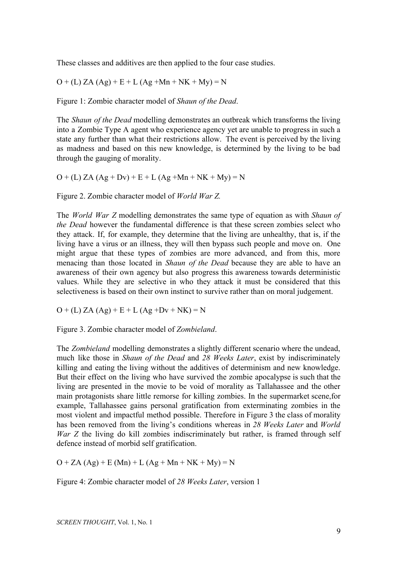These classes and additives are then applied to the four case studies.

 $O + (L) ZA (Ag) + E + L (Ag + Mn + NK + My) = N$ 

Figure 1: Zombie character model of *Shaun of the Dead*.

The *Shaun of the Dead* modelling demonstrates an outbreak which transforms the living into a Zombie Type A agent who experience agency yet are unable to progress in such a state any further than what their restrictions allow. The event is perceived by the living as madness and based on this new knowledge, is determined by the living to be bad through the gauging of morality.

 $O + (L) ZA (Ag + Dv) + E + L (Ag + Mn + NK + My) = N$ 

Figure 2. Zombie character model of *World War Z.*

The *World War Z* modelling demonstrates the same type of equation as with *Shaun of the Dead* however the fundamental difference is that these screen zombies select who they attack. If, for example, they determine that the living are unhealthy, that is, if the living have a virus or an illness, they will then bypass such people and move on. One might argue that these types of zombies are more advanced, and from this, more menacing than those located in *Shaun of the Dead* because they are able to have an awareness of their own agency but also progress this awareness towards deterministic values. While they are selective in who they attack it must be considered that this selectiveness is based on their own instinct to survive rather than on moral judgement.

 $O + (L) ZA (Ag) + E + L (Ag +Dv + NK) = N$ 

Figure 3. Zombie character model of *Zombieland*.

The *Zombieland* modelling demonstrates a slightly different scenario where the undead, much like those in *Shaun of the Dead* and *28 Weeks Later*, exist by indiscriminately killing and eating the living without the additives of determinism and new knowledge. But their effect on the living who have survived the zombie apocalypse is such that the living are presented in the movie to be void of morality as Tallahassee and the other main protagonists share little remorse for killing zombies. In the supermarket scene,for example, Tallahassee gains personal gratification from exterminating zombies in the most violent and impactful method possible. Therefore in Figure 3 the class of morality has been removed from the living's conditions whereas in *28 Weeks Later* and *World War Z* the living do kill zombies indiscriminately but rather, is framed through self defence instead of morbid self gratification.

 $O + ZA (Ag) + E (Mn) + L (Ag + Mn + NK + My) = N$ 

Figure 4: Zombie character model of *28 Weeks Later*, version 1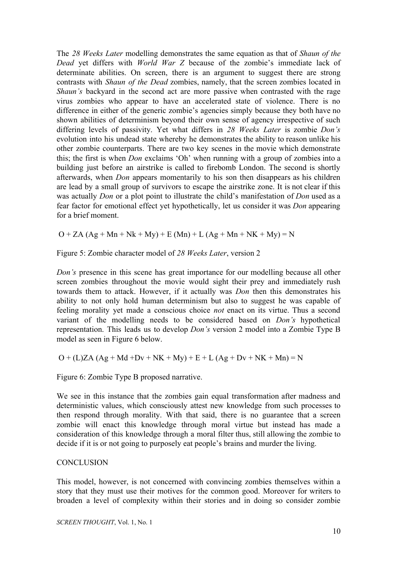The *28 Weeks Later* modelling demonstrates the same equation as that of *Shaun of the Dead* yet differs with *World War Z* because of the zombie's immediate lack of determinate abilities. On screen, there is an argument to suggest there are strong contrasts with *Shaun of the Dead* zombies, namely, that the screen zombies located in *Shaun's* backyard in the second act are more passive when contrasted with the rage virus zombies who appear to have an accelerated state of violence. There is no difference in either of the generic zombie's agencies simply because they both have no shown abilities of determinism beyond their own sense of agency irrespective of such differing levels of passivity. Yet what differs in *28 Weeks Later* is zombie *Don's* evolution into his undead state whereby he demonstrates the ability to reason unlike his other zombie counterparts. There are two key scenes in the movie which demonstrate this; the first is when *Don* exclaims 'Oh' when running with a group of zombies into a building just before an airstrike is called to firebomb London. The second is shortly afterwards, when *Don* appears momentarily to his son then disappears as his children are lead by a small group of survivors to escape the airstrike zone. It is not clear if this was actually *Don* or a plot point to illustrate the child's manifestation of *Don* used as a fear factor for emotional effect yet hypothetically, let us consider it was *Don* appearing for a brief moment.

 $O + ZA (Ag + Mn + Nk + My) + E (Mn) + L (Ag + Mn + NK + My) = N$ 

Figure 5: Zombie character model of *28 Weeks Later*, version 2

*Don's* presence in this scene has great importance for our modelling because all other screen zombies throughout the movie would sight their prey and immediately rush towards them to attack. However, if it actually was *Don* then this demonstrates his ability to not only hold human determinism but also to suggest he was capable of feeling morality yet made a conscious choice *not* enact on its virtue. Thus a second variant of the modelling needs to be considered based on *Don's* hypothetical representation. This leads us to develop *Don's* version 2 model into a Zombie Type B model as seen in Figure 6 below.

 $O + (L)ZA(Ag + Md +Dv + NK + My) + E + L(Ag + Dv + NK + Mn) = N$ 

Figure 6: Zombie Type B proposed narrative.

We see in this instance that the zombies gain equal transformation after madness and deterministic values, which consciously attest new knowledge from such processes to then respond through morality. With that said, there is no guarantee that a screen zombie will enact this knowledge through moral virtue but instead has made a consideration of this knowledge through a moral filter thus, still allowing the zombie to decide if it is or not going to purposely eat people's brains and murder the living.

## **CONCLUSION**

This model, however, is not concerned with convincing zombies themselves within a story that they must use their motives for the common good. Moreover for writers to broaden a level of complexity within their stories and in doing so consider zombie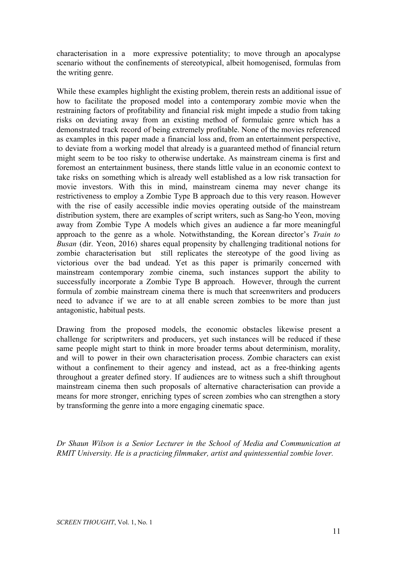characterisation in a more expressive potentiality; to move through an apocalypse scenario without the confinements of stereotypical, albeit homogenised, formulas from the writing genre.

While these examples highlight the existing problem, therein rests an additional issue of how to facilitate the proposed model into a contemporary zombie movie when the restraining factors of profitability and financial risk might impede a studio from taking risks on deviating away from an existing method of formulaic genre which has a demonstrated track record of being extremely profitable. None of the movies referenced as examples in this paper made a financial loss and, from an entertainment perspective, to deviate from a working model that already is a guaranteed method of financial return might seem to be too risky to otherwise undertake. As mainstream cinema is first and foremost an entertainment business, there stands little value in an economic context to take risks on something which is already well established as a low risk transaction for movie investors. With this in mind, mainstream cinema may never change its restrictiveness to employ a Zombie Type B approach due to this very reason. However with the rise of easily accessible indie movies operating outside of the mainstream distribution system, there are examples of script writers, such as Sang-ho Yeon, moving away from Zombie Type A models which gives an audience a far more meaningful approach to the genre as a whole. Notwithstanding, the Korean director's *Train to Busan* (dir. Yeon, 2016) shares equal propensity by challenging traditional notions for zombie characterisation but still replicates the stereotype of the good living as victorious over the bad undead. Yet as this paper is primarily concerned with mainstream contemporary zombie cinema, such instances support the ability to successfully incorporate a Zombie Type B approach. However, through the current formula of zombie mainstream cinema there is much that screenwriters and producers need to advance if we are to at all enable screen zombies to be more than just antagonistic, habitual pests.

Drawing from the proposed models, the economic obstacles likewise present a challenge for scriptwriters and producers, yet such instances will be reduced if these same people might start to think in more broader terms about determinism, morality, and will to power in their own characterisation process. Zombie characters can exist without a confinement to their agency and instead, act as a free-thinking agents throughout a greater defined story. If audiences are to witness such a shift throughout mainstream cinema then such proposals of alternative characterisation can provide a means for more stronger, enriching types of screen zombies who can strengthen a story by transforming the genre into a more engaging cinematic space.

*Dr Shaun Wilson is a Senior Lecturer in the School of Media and Communication at RMIT University. He is a practicing filmmaker, artist and quintessential zombie lover.*